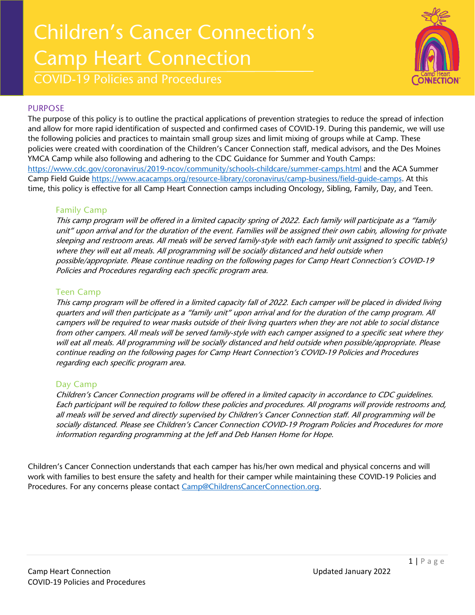# Children's Cancer Connection's Camp Heart Connection



COVID-19 Policies and Procedures

#### PURPOSE

The purpose of this policy is to outline the practical applications of prevention strategies to reduce the spread of infection and allow for more rapid identification of suspected and confirmed cases of COVID-19. During this pandemic, we will use the following policies and practices to maintain small group sizes and limit mixing of groups while at Camp. These policies were created with coordination of the Children's Cancer Connection staff, medical advisors, and the Des Moines YMCA Camp while also following and adhering to the CDC Guidance for Summer and Youth Camps: <https://www.cdc.gov/coronavirus/2019-ncov/community/schools-childcare/summer-camps.html> and the ACA Summer Camp Field Guide [https://www.acacamps.org/resource-library/coronavirus/camp-business/field-guide-camps.](https://www.acacamps.org/resource-library/coronavirus/camp-business/field-guide-camps) At this time, this policy is effective for all Camp Heart Connection camps including Oncology, Sibling, Family, Day, and Teen.

#### Family Camp

This camp program will be offered in a limited capacity spring of 2022. Each family will participate as a "family unit" upon arrival and for the duration of the event. Families will be assigned their own cabin, allowing for private sleeping and restroom areas. All meals will be served family‐style with each family unit assigned to specific table(s) where they will eat all meals. All programming will be socially distanced and held outside when possible/appropriate. Please continue reading on the following pages for Camp Heart Connection's COVID-19 Policies and Procedures regarding each specific program area.

#### Teen Camp

This camp program will be offered in a limited capacity fall of 2022. Each camper will be placed in divided living quarters and will then participate as a "family unit" upon arrival and for the duration of the camp program. All campers will be required to wear masks outside of their living quarters when they are not able to social distance from other campers. All meals will be served family-style with each camper assigned to a specific seat where they will eat all meals. All programming will be socially distanced and held outside when possible/appropriate. Please continue reading on the following pages for Camp Heart Connection's COVID-19 Policies and Procedures regarding each specific program area.

#### Day Camp

Children's Cancer Connection programs will be offered in a limited capacity in accordance to CDC guidelines. Each participant will be required to follow these policies and procedures. All programs will provide restrooms and, all meals will be served and directly supervised by Children's Cancer Connection staff. All programming will be socially distanced. Please see Children's Cancer Connection COVID-19 Program Policies and Procedures for more information regarding programming at the Jeff and Deb Hansen Home for Hope.

Children's Cancer Connection understands that each camper has his/her own medical and physical concerns and will work with families to best ensure the safety and health for their camper while maintaining these COVID-19 Policies and Procedures. For any concerns please contact [Camp@ChildrensCancerConnection.org.](mailto:Camp@ChildrensCancerConnection.org)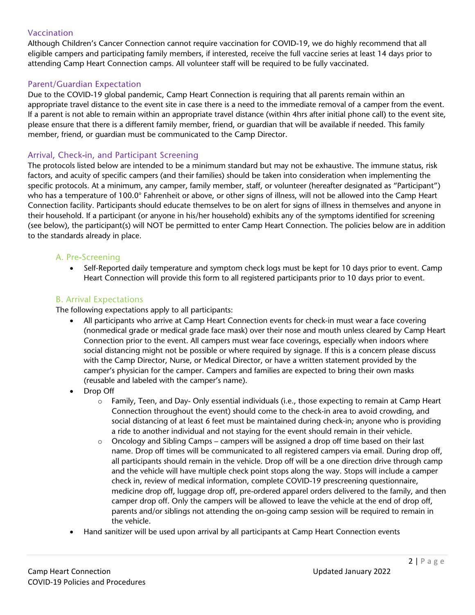#### Vaccination

Although Children's Cancer Connection cannot require vaccination for COVID-19, we do highly recommend that all eligible campers and participating family members, if interested, receive the full vaccine series at least 14 days prior to attending Camp Heart Connection camps. All volunteer staff will be required to be fully vaccinated.

#### Parent/Guardian Expectation

Due to the COVID-19 global pandemic, Camp Heart Connection is requiring that all parents remain within an appropriate travel distance to the event site in case there is a need to the immediate removal of a camper from the event. If a parent is not able to remain within an appropriate travel distance (within 4hrs after initial phone call) to the event site, please ensure that there is a different family member, friend, or guardian that will be available if needed. This family member, friend, or guardian must be communicated to the Camp Director.

#### Arrival, Check‐in, and Participant Screening

The protocols listed below are intended to be a minimum standard but may not be exhaustive. The immune status, risk factors, and acuity of specific campers (and their families) should be taken into consideration when implementing the specific protocols. At a minimum, any camper, family member, staff, or volunteer (hereafter designated as "Participant") who has a temperature of 100.0° Fahrenheit or above, or other signs of illness, will not be allowed into the Camp Heart Connection facility. Participants should educate themselves to be on alert for signs of illness in themselves and anyone in their household. If a participant (or anyone in his/her household) exhibits any of the symptoms identified for screening (see below), the participant(s) will NOT be permitted to enter Camp Heart Connection. The policies below are in addition to the standards already in place.

#### A. Pre‐Screening

• Self-Reported daily temperature and symptom check logs must be kept for 10 days prior to event. Camp Heart Connection will provide this form to all registered participants prior to 10 days prior to event.

#### B. Arrival Expectations

The following expectations apply to all participants:

- All participants who arrive at Camp Heart Connection events for check-in must wear a face covering (nonmedical grade or medical grade face mask) over their nose and mouth unless cleared by Camp Heart Connection prior to the event. All campers must wear face coverings, especially when indoors where social distancing might not be possible or where required by signage. If this is a concern please discuss with the Camp Director, Nurse, or Medical Director, or have a written statement provided by the camper's physician for the camper. Campers and families are expected to bring their own masks (reusable and labeled with the camper's name).
- Drop Off
	- o Family, Teen, and Day- Only essential individuals (i.e., those expecting to remain at Camp Heart Connection throughout the event) should come to the check‐in area to avoid crowding, and social distancing of at least 6 feet must be maintained during check‐in; anyone who is providing a ride to another individual and not staying for the event should remain in their vehicle.
	- $\circ$  Oncology and Sibling Camps campers will be assigned a drop off time based on their last name. Drop off times will be communicated to all registered campers via email. During drop off, all participants should remain in the vehicle. Drop off will be a one direction drive through camp and the vehicle will have multiple check point stops along the way. Stops will include a camper check in, review of medical information, complete COVID-19 prescreening questionnaire, medicine drop off, luggage drop off, pre-ordered apparel orders delivered to the family, and then camper drop off. Only the campers will be allowed to leave the vehicle at the end of drop off, parents and/or siblings not attending the on-going camp session will be required to remain in the vehicle.
- Hand sanitizer will be used upon arrival by all participants at Camp Heart Connection events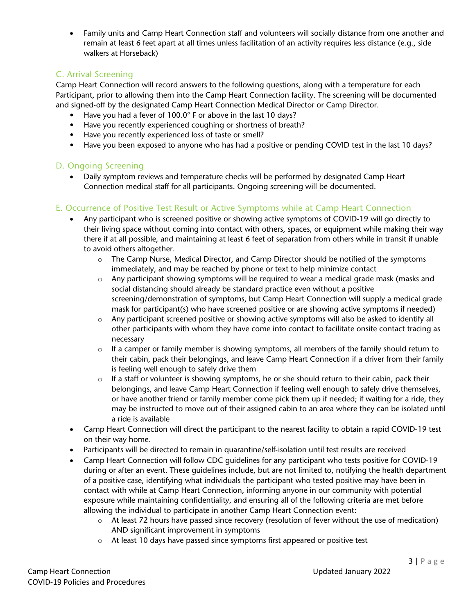• Family units and Camp Heart Connection staff and volunteers will socially distance from one another and remain at least 6 feet apart at all times unless facilitation of an activity requires less distance (e.g., side walkers at Horseback)

#### C. Arrival Screening

Camp Heart Connection will record answers to the following questions, along with a temperature for each Participant, prior to allowing them into the Camp Heart Connection facility. The screening will be documented and signed-off by the designated Camp Heart Connection Medical Director or Camp Director.

- Have you had a fever of 100.0° F or above in the last 10 days?
- Have you recently experienced coughing or shortness of breath?
- Have you recently experienced loss of taste or smell?
- Have you been exposed to anyone who has had a positive or pending COVID test in the last 10 days?

#### D. Ongoing Screening

• Daily symptom reviews and temperature checks will be performed by designated Camp Heart Connection medical staff for all participants. Ongoing screening will be documented.

#### E. Occurrence of Positive Test Result or Active Symptoms while at Camp Heart Connection

- Any participant who is screened positive or showing active symptoms of COVID‐19 will go directly to their living space without coming into contact with others, spaces, or equipment while making their way there if at all possible, and maintaining at least 6 feet of separation from others while in transit if unable to avoid others altogether.
	- o The Camp Nurse, Medical Director, and Camp Director should be notified of the symptoms immediately, and may be reached by phone or text to help minimize contact
	- $\circ$  Any participant showing symptoms will be required to wear a medical grade mask (masks and social distancing should already be standard practice even without a positive screening/demonstration of symptoms, but Camp Heart Connection will supply a medical grade mask for participant(s) who have screened positive or are showing active symptoms if needed)
	- o Any participant screened positive or showing active symptoms will also be asked to identify all other participants with whom they have come into contact to facilitate onsite contact tracing as necessary
	- $\circ$  If a camper or family member is showing symptoms, all members of the family should return to their cabin, pack their belongings, and leave Camp Heart Connection if a driver from their family is feeling well enough to safely drive them
	- $\circ$  If a staff or volunteer is showing symptoms, he or she should return to their cabin, pack their belongings, and leave Camp Heart Connection if feeling well enough to safely drive themselves, or have another friend or family member come pick them up if needed; if waiting for a ride, they may be instructed to move out of their assigned cabin to an area where they can be isolated until a ride is available
- Camp Heart Connection will direct the participant to the nearest facility to obtain a rapid COVID-19 test on their way home.
- Participants will be directed to remain in quarantine/self-isolation until test results are received
- Camp Heart Connection will follow CDC guidelines for any participant who tests positive for COVID-19 during or after an event. These guidelines include, but are not limited to, notifying the health department of a positive case, identifying what individuals the participant who tested positive may have been in contact with while at Camp Heart Connection, informing anyone in our community with potential exposure while maintaining confidentiality, and ensuring all of the following criteria are met before allowing the individual to participate in another Camp Heart Connection event:
	- o At least 72 hours have passed since recovery (resolution of fever without the use of medication) AND significant improvement in symptoms
	- o At least 10 days have passed since symptoms first appeared or positive test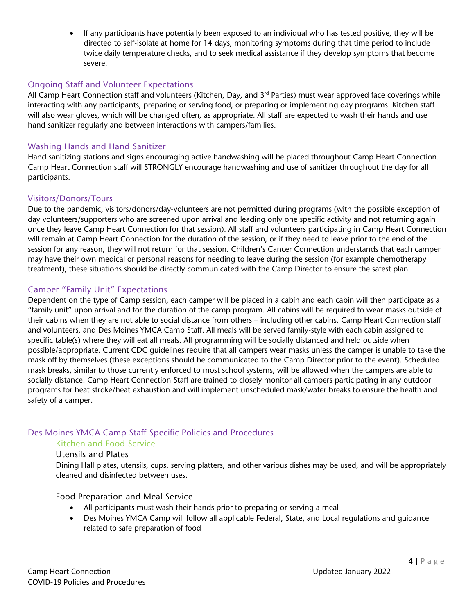• If any participants have potentially been exposed to an individual who has tested positive, they will be directed to self‐isolate at home for 14 days, monitoring symptoms during that time period to include twice daily temperature checks, and to seek medical assistance if they develop symptoms that become severe.

#### Ongoing Staff and Volunteer Expectations

All Camp Heart Connection staff and volunteers (Kitchen, Day, and 3<sup>rd</sup> Parties) must wear approved face coverings while interacting with any participants, preparing or serving food, or preparing or implementing day programs. Kitchen staff will also wear gloves, which will be changed often, as appropriate. All staff are expected to wash their hands and use hand sanitizer regularly and between interactions with campers/families.

#### Washing Hands and Hand Sanitizer

Hand sanitizing stations and signs encouraging active handwashing will be placed throughout Camp Heart Connection. Camp Heart Connection staff will STRONGLY encourage handwashing and use of sanitizer throughout the day for all participants.

#### Visitors/Donors/Tours

Due to the pandemic, visitors/donors/day‐volunteers are not permitted during programs (with the possible exception of day volunteers/supporters who are screened upon arrival and leading only one specific activity and not returning again once they leave Camp Heart Connection for that session). All staff and volunteers participating in Camp Heart Connection will remain at Camp Heart Connection for the duration of the session, or if they need to leave prior to the end of the session for any reason, they will not return for that session. Children's Cancer Connection understands that each camper may have their own medical or personal reasons for needing to leave during the session (for example chemotherapy treatment), these situations should be directly communicated with the Camp Director to ensure the safest plan.

#### Camper "Family Unit" Expectations

Dependent on the type of Camp session, each camper will be placed in a cabin and each cabin will then participate as a "family unit" upon arrival and for the duration of the camp program. All cabins will be required to wear masks outside of their cabins when they are not able to social distance from others – including other cabins, Camp Heart Connection staff and volunteers, and Des Moines YMCA Camp Staff. All meals will be served family‐style with each cabin assigned to specific table(s) where they will eat all meals. All programming will be socially distanced and held outside when possible/appropriate. Current CDC guidelines require that all campers wear masks unless the camper is unable to take the mask off by themselves (these exceptions should be communicated to the Camp Director prior to the event). Scheduled mask breaks, similar to those currently enforced to most school systems, will be allowed when the campers are able to socially distance. Camp Heart Connection Staff are trained to closely monitor all campers participating in any outdoor programs for heat stroke/heat exhaustion and will implement unscheduled mask/water breaks to ensure the health and safety of a camper.

#### Des Moines YMCA Camp Staff Specific Policies and Procedures

#### Kitchen and Food Service

#### Utensils and Plates

Dining Hall plates, utensils, cups, serving platters, and other various dishes may be used, and will be appropriately cleaned and disinfected between uses.

#### Food Preparation and Meal Service

- All participants must wash their hands prior to preparing or serving a meal
- Des Moines YMCA Camp will follow all applicable Federal, State, and Local regulations and guidance related to safe preparation of food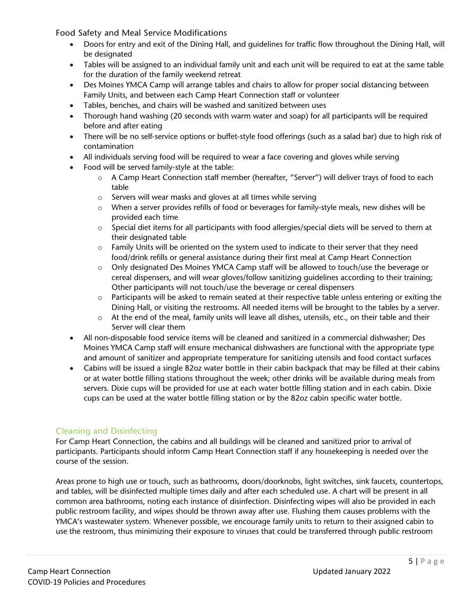Food Safety and Meal Service Modifications

- Doors for entry and exit of the Dining Hall, and guidelines for traffic flow throughout the Dining Hall, will be designated
- Tables will be assigned to an individual family unit and each unit will be required to eat at the same table for the duration of the family weekend retreat
- Des Moines YMCA Camp will arrange tables and chairs to allow for proper social distancing between Family Units, and between each Camp Heart Connection staff or volunteer
- Tables, benches, and chairs will be washed and sanitized between uses
- Thorough hand washing (20 seconds with warm water and soap) for all participants will be required before and after eating
- There will be no self‐service options or buffet‐style food offerings (such as a salad bar) due to high risk of contamination
- All individuals serving food will be required to wear a face covering and gloves while serving
- Food will be served family‐style at the table:
	- o A Camp Heart Connection staff member (hereafter, "Server") will deliver trays of food to each table
	- o Servers will wear masks and gloves at all times while serving
	- o When a server provides refills of food or beverages for family‐style meals, new dishes will be provided each time
	- $\circ$  Special diet items for all participants with food allergies/special diets will be served to them at their designated table
	- $\circ$  Family Units will be oriented on the system used to indicate to their server that they need food/drink refills or general assistance during their first meal at Camp Heart Connection
	- o Only designated Des Moines YMCA Camp staff will be allowed to touch/use the beverage or cereal dispensers, and will wear gloves/follow sanitizing guidelines according to their training; Other participants will not touch/use the beverage or cereal dispensers
	- $\circ$  Participants will be asked to remain seated at their respective table unless entering or exiting the Dining Hall, or visiting the restrooms. All needed items will be brought to the tables by a server.
	- o At the end of the meal, family units will leave all dishes, utensils, etc., on their table and their Server will clear them
- All non‐disposable food service items will be cleaned and sanitized in a commercial dishwasher; Des Moines YMCA Camp staff will ensure mechanical dishwashers are functional with the appropriate type and amount of sanitizer and appropriate temperature for sanitizing utensils and food contact surfaces
- Cabins will be issued a single 82oz water bottle in their cabin backpack that may be filled at their cabins or at water bottle filling stations throughout the week; other drinks will be available during meals from servers. Dixie cups will be provided for use at each water bottle filling station and in each cabin. Dixie cups can be used at the water bottle filling station or by the 82oz cabin specific water bottle.

#### Cleaning and Disinfecting

For Camp Heart Connection, the cabins and all buildings will be cleaned and sanitized prior to arrival of participants. Participants should inform Camp Heart Connection staff if any housekeeping is needed over the course of the session.

Areas prone to high use or touch, such as bathrooms, doors/doorknobs, light switches, sink faucets, countertops, and tables, will be disinfected multiple times daily and after each scheduled use. A chart will be present in all common area bathrooms, noting each instance of disinfection. Disinfecting wipes will also be provided in each public restroom facility, and wipes should be thrown away after use. Flushing them causes problems with the YMCA's wastewater system. Whenever possible, we encourage family units to return to their assigned cabin to use the restroom, thus minimizing their exposure to viruses that could be transferred through public restroom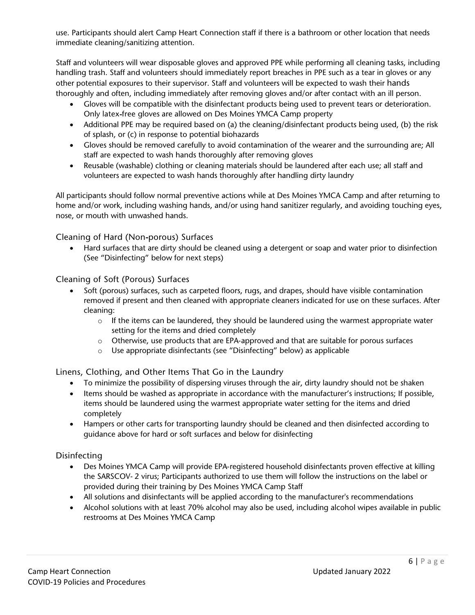use. Participants should alert Camp Heart Connection staff if there is a bathroom or other location that needs immediate cleaning/sanitizing attention.

Staff and volunteers will wear disposable gloves and approved PPE while performing all cleaning tasks, including handling trash. Staff and volunteers should immediately report breaches in PPE such as a tear in gloves or any other potential exposures to their supervisor. Staff and volunteers will be expected to wash their hands thoroughly and often, including immediately after removing gloves and/or after contact with an ill person.

- Gloves will be compatible with the disinfectant products being used to prevent tears or deterioration. Only latex‐free gloves are allowed on Des Moines YMCA Camp property
- Additional PPE may be required based on (a) the cleaning/disinfectant products being used, (b) the risk of splash, or (c) in response to potential biohazards
- Gloves should be removed carefully to avoid contamination of the wearer and the surrounding are; All staff are expected to wash hands thoroughly after removing gloves
- Reusable (washable) clothing or cleaning materials should be laundered after each use; all staff and volunteers are expected to wash hands thoroughly after handling dirty laundry

All participants should follow normal preventive actions while at Des Moines YMCA Camp and after returning to home and/or work, including washing hands, and/or using hand sanitizer regularly, and avoiding touching eyes, nose, or mouth with unwashed hands.

Cleaning of Hard (Non‐porous) Surfaces

• Hard surfaces that are dirty should be cleaned using a detergent or soap and water prior to disinfection (See "Disinfecting" below for next steps)

Cleaning of Soft (Porous) Surfaces

- Soft (porous) surfaces, such as carpeted floors, rugs, and drapes, should have visible contamination removed if present and then cleaned with appropriate cleaners indicated for use on these surfaces. After cleaning:
	- o If the items can be laundered, they should be laundered using the warmest appropriate water setting for the items and dried completely
	- o Otherwise, use products that are EPA‐approved and that are suitable for porous surfaces
	- o Use appropriate disinfectants (see "Disinfecting" below) as applicable

Linens, Clothing, and Other Items That Go in the Laundry

- To minimize the possibility of dispersing viruses through the air, dirty laundry should not be shaken
- Items should be washed as appropriate in accordance with the manufacturer's instructions; If possible, items should be laundered using the warmest appropriate water setting for the items and dried completely
- Hampers or other carts for transporting laundry should be cleaned and then disinfected according to guidance above for hard or soft surfaces and below for disinfecting

#### Disinfecting

- Des Moines YMCA Camp will provide EPA-registered household disinfectants proven effective at killing the SARSCOV‐ 2 virus; Participants authorized to use them will follow the instructions on the label or provided during their training by Des Moines YMCA Camp Staff
- All solutions and disinfectants will be applied according to the manufacturer's recommendations
- Alcohol solutions with at least 70% alcohol may also be used, including alcohol wipes available in public restrooms at Des Moines YMCA Camp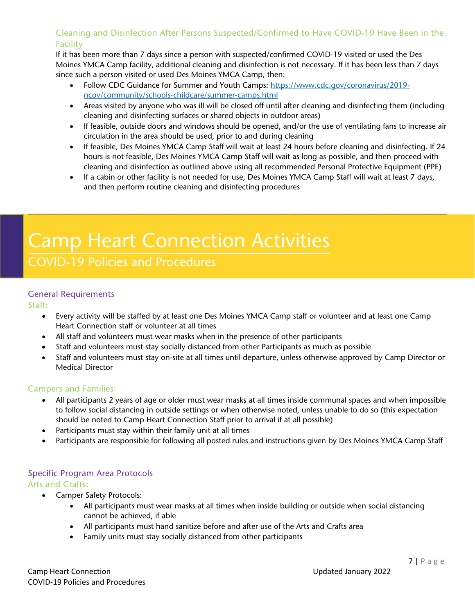#### Cleaning and Disinfection After Persons Suspected/Confirmed to Have COVID‐19 Have Been in the Facility

If it has been more than 7 days since a person with suspected/confirmed COVID‐19 visited or used the Des Moines YMCA Camp facility, additional cleaning and disinfection is not necessary. If it has been less than 7 days since such a person visited or used Des Moines YMCA Camp, then:

- Follow CDC Guidance for Summer and Youth Camps: [https://www.cdc.gov/coronavirus/2019](https://www.cdc.gov/coronavirus/2019-ncov/community/schools%E2%80%90childcare/summer%E2%80%90camps.html) [ncov/community/schools](https://www.cdc.gov/coronavirus/2019-ncov/community/schools%E2%80%90childcare/summer%E2%80%90camps.html)‐childcare/summer‐camps.html
- Areas visited by anyone who was ill will be closed off until after cleaning and disinfecting them (including cleaning and disinfecting surfaces or shared objects in outdoor areas)
- If feasible, outside doors and windows should be opened, and/or the use of ventilating fans to increase air circulation in the area should be used, prior to and during cleaning
- If feasible, Des Moines YMCA Camp Staff will wait at least 24 hours before cleaning and disinfecting. If 24 hours is not feasible, Des Moines YMCA Camp Staff will wait as long as possible, and then proceed with cleaning and disinfection as outlined above using all recommended Personal Protective Equipment (PPE)
- If a cabin or other facility is not needed for use, Des Moines YMCA Camp Staff will wait at least 7 days, and then perform routine cleaning and disinfecting procedures

\_\_\_\_\_\_\_\_\_\_\_\_\_\_\_\_\_\_\_\_\_\_\_\_\_\_\_\_\_\_\_\_\_\_\_\_\_\_\_\_\_\_\_\_\_\_\_\_\_\_\_\_\_\_\_\_\_\_\_\_\_\_\_\_\_\_\_\_\_\_\_\_\_\_\_\_\_\_\_\_\_\_\_\_\_\_\_\_\_\_

## Camp Heart Connection Activities

### COVID-19 Policies and Procedures

#### General Requirements

Staff:

- Every activity will be staffed by at least one Des Moines YMCA Camp staff or volunteer and at least one Camp Heart Connection staff or volunteer at all times
- All staff and volunteers must wear masks when in the presence of other participants
- Staff and volunteers must stay socially distanced from other Participants as much as possible
- Staff and volunteers must stay on-site at all times until departure, unless otherwise approved by Camp Director or Medical Director

#### Campers and Families:

- All participants 2 years of age or older must wear masks at all times inside communal spaces and when impossible to follow social distancing in outside settings or when otherwise noted, unless unable to do so (this expectation should be noted to Camp Heart Connection Staff prior to arrival if at all possible)
- Participants must stay within their family unit at all times
- Participants are responsible for following all posted rules and instructions given by Des Moines YMCA Camp Staff

#### Specific Program Area Protocols

Arts and Crafts:

- Camper Safety Protocols:
	- All participants must wear masks at all times when inside building or outside when social distancing cannot be achieved, if able
	- All participants must hand sanitize before and after use of the Arts and Crafts area
	- Family units must stay socially distanced from other participants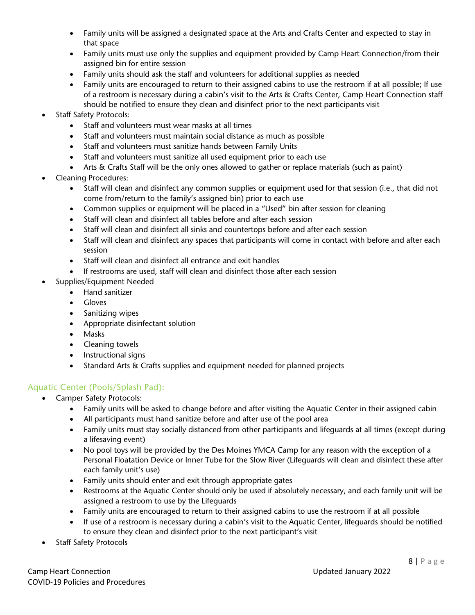- Family units will be assigned a designated space at the Arts and Crafts Center and expected to stay in that space
- Family units must use only the supplies and equipment provided by Camp Heart Connection/from their assigned bin for entire session
- Family units should ask the staff and volunteers for additional supplies as needed
- Family units are encouraged to return to their assigned cabins to use the restroom if at all possible; If use of a restroom is necessary during a cabin's visit to the Arts & Crafts Center, Camp Heart Connection staff should be notified to ensure they clean and disinfect prior to the next participants visit
- **Staff Safety Protocols:** 
	- Staff and volunteers must wear masks at all times
	- Staff and volunteers must maintain social distance as much as possible
	- Staff and volunteers must sanitize hands between Family Units
	- Staff and volunteers must sanitize all used equipment prior to each use
	- Arts & Crafts Staff will be the only ones allowed to gather or replace materials (such as paint)
- Cleaning Procedures:
	- Staff will clean and disinfect any common supplies or equipment used for that session (i.e., that did not come from/return to the family's assigned bin) prior to each use
	- Common supplies or equipment will be placed in a "Used" bin after session for cleaning
	- Staff will clean and disinfect all tables before and after each session
	- Staff will clean and disinfect all sinks and countertops before and after each session
	- Staff will clean and disinfect any spaces that participants will come in contact with before and after each session
	- Staff will clean and disinfect all entrance and exit handles
	- If restrooms are used, staff will clean and disinfect those after each session
- Supplies/Equipment Needed
	- Hand sanitizer
	- Gloves
	- Sanitizing wipes
	- Appropriate disinfectant solution
	- Masks
	- Cleaning towels
	- Instructional signs
	- Standard Arts & Crafts supplies and equipment needed for planned projects

#### Aquatic Center (Pools/Splash Pad):

- Camper Safety Protocols:
	- Family units will be asked to change before and after visiting the Aquatic Center in their assigned cabin
	- All participants must hand sanitize before and after use of the pool area
	- Family units must stay socially distanced from other participants and lifeguards at all times (except during a lifesaving event)
	- No pool toys will be provided by the Des Moines YMCA Camp for any reason with the exception of a Personal Floatation Device or Inner Tube for the Slow River (Lifeguards will clean and disinfect these after each family unit's use)
	- Family units should enter and exit through appropriate gates
	- Restrooms at the Aquatic Center should only be used if absolutely necessary, and each family unit will be assigned a restroom to use by the Lifeguards
	- Family units are encouraged to return to their assigned cabins to use the restroom if at all possible
	- If use of a restroom is necessary during a cabin's visit to the Aquatic Center, lifeguards should be notified to ensure they clean and disinfect prior to the next participant's visit
- **Staff Safety Protocols**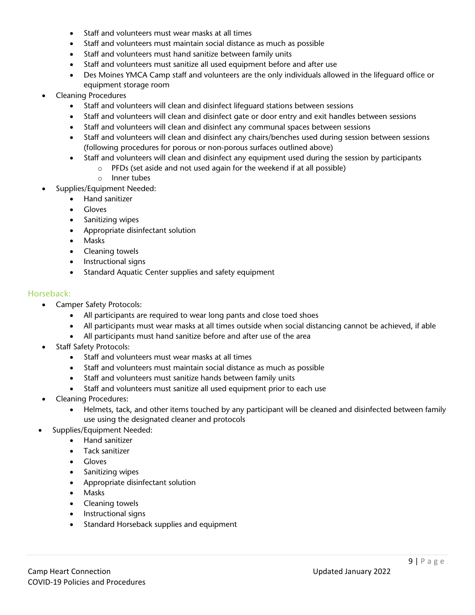- Staff and volunteers must wear masks at all times
- Staff and volunteers must maintain social distance as much as possible
- Staff and volunteers must hand sanitize between family units
- Staff and volunteers must sanitize all used equipment before and after use
- Des Moines YMCA Camp staff and volunteers are the only individuals allowed in the lifeguard office or equipment storage room
- Cleaning Procedures
	- Staff and volunteers will clean and disinfect lifeguard stations between sessions
	- Staff and volunteers will clean and disinfect gate or door entry and exit handles between sessions
	- Staff and volunteers will clean and disinfect any communal spaces between sessions
	- Staff and volunteers will clean and disinfect any chairs/benches used during session between sessions (following procedures for porous or non‐porous surfaces outlined above)
	- Staff and volunteers will clean and disinfect any equipment used during the session by participants
		- o PFDs (set aside and not used again for the weekend if at all possible)
		- o Inner tubes
- Supplies/Equipment Needed:
	- Hand sanitizer
	- Gloves
	- Sanitizing wipes
	- Appropriate disinfectant solution
	- Masks
	- Cleaning towels
	- Instructional signs
	- Standard Aquatic Center supplies and safety equipment

#### Horseback:

- Camper Safety Protocols:
	- All participants are required to wear long pants and close toed shoes
	- All participants must wear masks at all times outside when social distancing cannot be achieved, if able
	- All participants must hand sanitize before and after use of the area
- Staff Safety Protocols:
	- Staff and volunteers must wear masks at all times
	- Staff and volunteers must maintain social distance as much as possible
	- Staff and volunteers must sanitize hands between family units
	- Staff and volunteers must sanitize all used equipment prior to each use
- Cleaning Procedures:
	- Helmets, tack, and other items touched by any participant will be cleaned and disinfected between family use using the designated cleaner and protocols
- Supplies/Equipment Needed:
	- Hand sanitizer
	- Tack sanitizer
	- Gloves
	- Sanitizing wipes
	- Appropriate disinfectant solution
	- Masks
	- Cleaning towels
	- Instructional signs
	- Standard Horseback supplies and equipment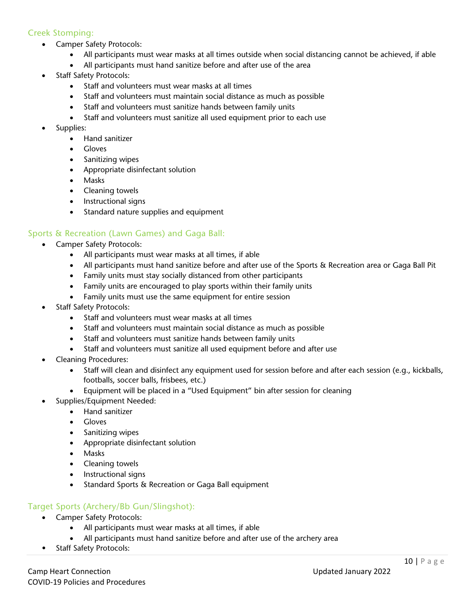#### Creek Stomping:

- Camper Safety Protocols:
	- All participants must wear masks at all times outside when social distancing cannot be achieved, if able
	- All participants must hand sanitize before and after use of the area
- Staff Safety Protocols:
	- Staff and volunteers must wear masks at all times
	- Staff and volunteers must maintain social distance as much as possible
	- Staff and volunteers must sanitize hands between family units
	- Staff and volunteers must sanitize all used equipment prior to each use
- Supplies:
	- Hand sanitizer
	- Gloves
		- Sanitizing wipes
		- Appropriate disinfectant solution
		- Masks
		- Cleaning towels
		- Instructional signs
		- Standard nature supplies and equipment

#### Sports & Recreation (Lawn Games) and Gaga Ball:

- Camper Safety Protocols:
	- All participants must wear masks at all times, if able
	- All participants must hand sanitize before and after use of the Sports & Recreation area or Gaga Ball Pit
	- Family units must stay socially distanced from other participants
	- Family units are encouraged to play sports within their family units
	- Family units must use the same equipment for entire session
- Staff Safety Protocols:
	- Staff and volunteers must wear masks at all times
	- Staff and volunteers must maintain social distance as much as possible
	- Staff and volunteers must sanitize hands between family units
	- Staff and volunteers must sanitize all used equipment before and after use
- Cleaning Procedures:
	- Staff will clean and disinfect any equipment used for session before and after each session (e.g., kickballs, footballs, soccer balls, frisbees, etc.)
	- Equipment will be placed in a "Used Equipment" bin after session for cleaning
- Supplies/Equipment Needed:
	- Hand sanitizer
	- Gloves
	- Sanitizing wipes
	- Appropriate disinfectant solution
	- Masks
	- Cleaning towels
	- Instructional signs
	- Standard Sports & Recreation or Gaga Ball equipment

#### Target Sports (Archery/Bb Gun/Slingshot):

- Camper Safety Protocols:
	- All participants must wear masks at all times, if able
	- All participants must hand sanitize before and after use of the archery area
- Staff Safety Protocols: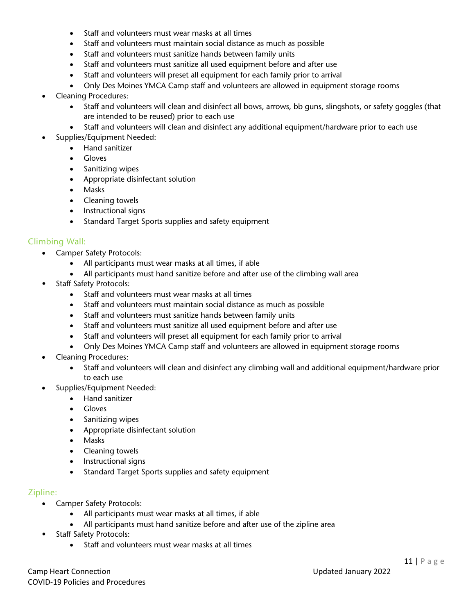- Staff and volunteers must wear masks at all times
- Staff and volunteers must maintain social distance as much as possible
- Staff and volunteers must sanitize hands between family units
- Staff and volunteers must sanitize all used equipment before and after use
- Staff and volunteers will preset all equipment for each family prior to arrival
- Only Des Moines YMCA Camp staff and volunteers are allowed in equipment storage rooms
- Cleaning Procedures:
	- Staff and volunteers will clean and disinfect all bows, arrows, bb guns, slingshots, or safety goggles (that are intended to be reused) prior to each use
	- Staff and volunteers will clean and disinfect any additional equipment/hardware prior to each use
	- Supplies/Equipment Needed:
		- Hand sanitizer
		- Gloves
		- Sanitizing wipes
		- Appropriate disinfectant solution
		- Masks
		- Cleaning towels
		- Instructional signs
		- Standard Target Sports supplies and safety equipment

#### Climbing Wall:

- Camper Safety Protocols:
	- All participants must wear masks at all times, if able
	- All participants must hand sanitize before and after use of the climbing wall area
- Staff Safety Protocols:
	- Staff and volunteers must wear masks at all times
	- Staff and volunteers must maintain social distance as much as possible
	- Staff and volunteers must sanitize hands between family units
	- Staff and volunteers must sanitize all used equipment before and after use
	- Staff and volunteers will preset all equipment for each family prior to arrival
	- Only Des Moines YMCA Camp staff and volunteers are allowed in equipment storage rooms
- Cleaning Procedures:
	- Staff and volunteers will clean and disinfect any climbing wall and additional equipment/hardware prior to each use
- Supplies/Equipment Needed:
	- Hand sanitizer
	- Gloves
	- Sanitizing wipes
	- Appropriate disinfectant solution
	- Masks
	- Cleaning towels
	- Instructional signs
	- Standard Target Sports supplies and safety equipment

#### Zipline:

- Camper Safety Protocols:
	- All participants must wear masks at all times, if able
	- All participants must hand sanitize before and after use of the zipline area
- Staff Safety Protocols:
	- Staff and volunteers must wear masks at all times